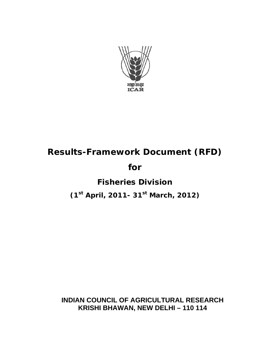

# **Results-Framework Document (RFD)**

## **for**

# **Fisheries Division**

# **(1st April, 2011- 31st March, 2012)**

## **INDIAN COUNCIL OF AGRICULTURAL RESEARCH KRISHI BHAWAN, NEW DELHI – 110 114**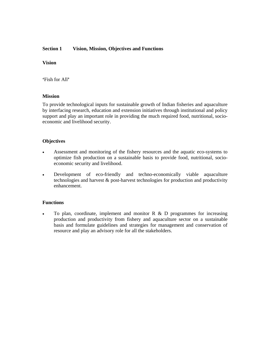#### **Section 1 Vision, Mission, Objectives and Functions**

#### **Vision**

**'**Fish for All**'**

#### **Mission**

To provide technological inputs for sustainable growth of Indian fisheries and aquaculture by interfacing research, education and extension initiatives through institutional and policy support and play an important role in providing the much required food, nutritional, socioeconomic and livelihood security.

#### **Objectives**

- Assessment and monitoring of the fishery resources and the aquatic eco-systems to optimize fish production on a sustainable basis to provide food, nutritional, socioeconomic security and livelihood.
- Development of eco-friendly and techno-economically viable aquaculture technologies and harvest & post-harvest technologies for production and productivity enhancement.

#### **Functions**

To plan, coordinate, implement and monitor R  $\&$  D programmes for increasing production and productivity from fishery and aquaculture sector on a sustainable basis and formulate guidelines and strategies for management and conservation of resource and play an advisory role for all the stakeholders.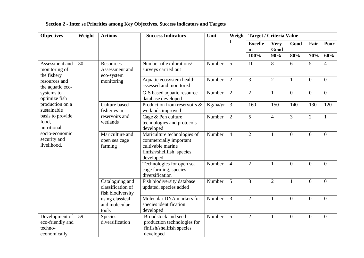| <b>Objectives</b>                                                                          | Weight              | <b>Actions</b>                                                                           | <b>Success Indicators</b><br>Unit                                                                                    |                                                                       | Weigh          | <b>Target / Criteria Value</b> |                |                |                  |                  |                |
|--------------------------------------------------------------------------------------------|---------------------|------------------------------------------------------------------------------------------|----------------------------------------------------------------------------------------------------------------------|-----------------------------------------------------------------------|----------------|--------------------------------|----------------|----------------|------------------|------------------|----------------|
|                                                                                            |                     |                                                                                          |                                                                                                                      |                                                                       | t              | <b>Excelle</b>                 | <b>Very</b>    | Good           | Fair             | Poor             |                |
|                                                                                            |                     |                                                                                          |                                                                                                                      |                                                                       |                | nt                             | Good           |                |                  |                  |                |
|                                                                                            |                     |                                                                                          |                                                                                                                      |                                                                       |                | 100%                           | 90%            | 80%            | 70%              | 60%              |                |
| Assessment and<br>monitoring of<br>the fishery                                             | 30                  | Resources<br>Assessment and<br>eco-system<br>monitoring<br>Culture based<br>fisheries in | Number of explorations/<br>surveys carried out                                                                       | Number                                                                | 5              | 10                             | 8              | 6              | 5                | 4                |                |
| resources and<br>the aquatic eco-                                                          |                     |                                                                                          | Aquatic ecosystem health<br>assessed and monitored                                                                   | Number                                                                | $\overline{2}$ | 3                              | $\overline{2}$ | $\mathbf{1}$   | $\overline{0}$   | $\overline{0}$   |                |
| systems to<br>optimize fish                                                                |                     |                                                                                          | GIS based aquatic resource<br>database developed                                                                     | Number                                                                | $\overline{2}$ | $\overline{2}$                 | $\mathbf{1}$   | $\overline{0}$ | $\overline{0}$   | $\overline{0}$   |                |
| production on a<br>sustainable                                                             |                     |                                                                                          | Production from reservoirs &<br>wetlands improved                                                                    | Kg/ha/yr                                                              | $\overline{3}$ | 160                            | 150            | 140            | 130              | 120              |                |
| basis to provide<br>food,<br>nutritional,<br>socio-economic<br>security and<br>livelihood. | wetlands<br>farming | reservoirs and                                                                           | Cage & Pen culture<br>technologies and protocols<br>developed                                                        | Number                                                                | $\overline{2}$ | 5                              | $\overline{4}$ | $\overline{3}$ | $\overline{2}$   | 1                |                |
|                                                                                            |                     | Mariculture and<br>open sea cage                                                         | Mariculture technologies of<br>commercially important<br>cultivable marine<br>finfish/shellfish species<br>developed | Number                                                                | $\overline{4}$ | $\overline{2}$                 | 1              | $\overline{0}$ | $\overline{0}$   | $\overline{0}$   |                |
|                                                                                            |                     |                                                                                          |                                                                                                                      | Technologies for open sea<br>cage farming, species<br>diversification | Number         | $\overline{4}$                 | $\overline{2}$ | 1              | $\theta$         | $\boldsymbol{0}$ | $\overline{0}$ |
|                                                                                            |                     | Cataloguing and<br>classification of<br>fish biodiversity                                | Fish biodiversity database<br>updated, species added                                                                 | Number                                                                | 5              | 3                              | $\overline{2}$ | 1              | $\boldsymbol{0}$ | $\mathbf{0}$     |                |
|                                                                                            |                     | using classical<br>and molecular<br>tools                                                | Molecular DNA markers for<br>species identification<br>developed                                                     | Number                                                                | 3              | $\overline{2}$                 |                | $\theta$       | $\overline{0}$   | $\theta$         |                |
| Development of<br>eco-friendly and<br>techno-<br>economically                              | 59                  | Species<br>diversification                                                               | <b>Broodstock and seed</b><br>production technologies for<br>finfish/shellfish species<br>developed                  | Number                                                                | 5              | $\overline{2}$                 | 1              | $\overline{0}$ | $\boldsymbol{0}$ | $\boldsymbol{0}$ |                |

## **Section 2 - Inter se Priorities among Key Objectives, Success indicators and Targets**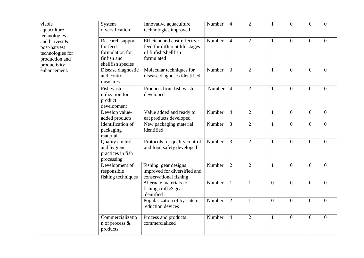| viable<br>aquaculture<br>technologies                                               |  | System<br>diversification                                                           | Innovative aquaculture<br>technologies improved                                                      | Number | $\overline{4}$ | $\overline{2}$ | $\mathbf{1}$   | $\overline{0}$   | $\boldsymbol{0}$ | $\overline{0}$ |
|-------------------------------------------------------------------------------------|--|-------------------------------------------------------------------------------------|------------------------------------------------------------------------------------------------------|--------|----------------|----------------|----------------|------------------|------------------|----------------|
| and harvest &<br>post-harvest<br>technologies for<br>production and<br>productivity |  | Research support<br>for feed<br>formulation for<br>finfish and<br>shellfish species | Efficient and cost-effective<br>feed for different life stages<br>of finfish/shellfish<br>formulated | Number | $\overline{4}$ | $\overline{2}$ | $\mathbf{1}$   | $\overline{0}$   | $\mathbf{0}$     | $\overline{0}$ |
| enhancement.                                                                        |  | Disease diagnostic<br>and control<br>measures                                       | Molecular techniques for<br>disease diagnoses identified                                             | Number | $\overline{3}$ | $\overline{2}$ | $\mathbf{1}$   | $\overline{0}$   | $\boldsymbol{0}$ | $\overline{0}$ |
|                                                                                     |  | Fish waste<br>utilization for<br>product<br>development                             | Products from fish waste<br>developed                                                                | Number | $\overline{4}$ | $\overline{2}$ | $\mathbf{1}$   | $\overline{0}$   | $\boldsymbol{0}$ | $\overline{0}$ |
|                                                                                     |  | Develop value-<br>added products                                                    | Value added and ready to<br>eat products developed                                                   | Number | $\overline{4}$ | $\overline{2}$ | $\mathbf{1}$   | $\boldsymbol{0}$ | $\mathbf{0}$     | $\overline{0}$ |
|                                                                                     |  | Identification of<br>packaging<br>material                                          | New packaging material<br>identified                                                                 | Number | 3              | $\mathbf{2}$   | $\mathbf{1}$   | $\overline{0}$   | $\mathbf{0}$     | $\overline{0}$ |
|                                                                                     |  | Quality control<br>and hygiene<br>practices in fish<br>processing                   | Protocols for quality control<br>and food safety developed                                           | Number | 3              | $\overline{2}$ | $\mathbf{1}$   | $\overline{0}$   | $\overline{0}$   | $\overline{0}$ |
|                                                                                     |  | Development of<br>responsible<br>fishing techniques                                 | Fishing gear designs<br>improved for diversified and<br>conservational fishing                       | Number | $\overline{2}$ | $\overline{2}$ | 1              | $\boldsymbol{0}$ | $\boldsymbol{0}$ | $\overline{0}$ |
|                                                                                     |  |                                                                                     | Alternate materials for<br>fishing craft & gear<br>identified                                        | Number | $\mathbf{1}$   | $\mathbf{1}$   | $\overline{0}$ | $\overline{0}$   | $\boldsymbol{0}$ | $\overline{0}$ |
|                                                                                     |  |                                                                                     | Popularization of by-catch<br>reduction devices                                                      | Number | $\overline{2}$ | $\mathbf{1}$   | $\overline{0}$ | $\overline{0}$   | $\boldsymbol{0}$ | $\overline{0}$ |
|                                                                                     |  | Commercializatio<br>n of process &<br>products                                      | Process and products<br>commercialized                                                               | Number | $\overline{4}$ | $\overline{2}$ | $\mathbf{1}$   | $\overline{0}$   | $\boldsymbol{0}$ | $\overline{0}$ |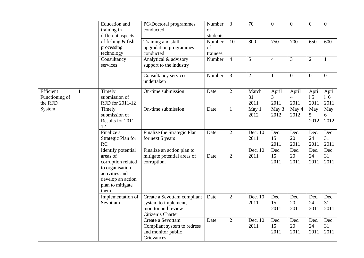|                                                  |    | <b>Education</b> and<br>training in<br>different aspects                                                                                          | PG/Doctoral programmes<br>conducted                                                            | Number<br>of<br>students | $\overline{3}$  | $\overline{70}$     | $\overline{0}$              | $\overline{0}$                  | $\overline{0}$     | $\overline{0}$         |
|--------------------------------------------------|----|---------------------------------------------------------------------------------------------------------------------------------------------------|------------------------------------------------------------------------------------------------|--------------------------|-----------------|---------------------|-----------------------------|---------------------------------|--------------------|------------------------|
|                                                  |    | of fishing $&$ fish<br>processing<br>technology                                                                                                   | Training and skill<br>upgradation programmes<br>conducted                                      | Number<br>of<br>trainees | $\overline{10}$ | 800                 | 750                         | 700                             | 650                | 600                    |
|                                                  |    | Consultancy<br>services                                                                                                                           | Analytical & advisory<br>support to the industry                                               | Number                   | $\overline{4}$  | 5                   | $\overline{4}$              | 3                               | $\sqrt{2}$         | $\mathbf{1}$           |
|                                                  |    |                                                                                                                                                   | Consultancy services<br>undertaken                                                             | Number                   | $\overline{3}$  | $\overline{2}$      | $\mathbf{1}$                | $\overline{0}$                  | $\boldsymbol{0}$   | $\overline{0}$         |
| Efficient<br>Functioning of<br>the RFD<br>System | 11 | Timely<br>submission of<br>RFD for 2011-12                                                                                                        | On-time submission                                                                             | Date                     | $\overline{2}$  | March<br>31<br>2011 | April<br>3<br>2011          | April<br>$\overline{4}$<br>2011 | Apri<br>15<br>2011 | Apri<br>$1\,6$<br>2011 |
|                                                  |    | Timely<br>submission of<br>Results for 2011-<br>12                                                                                                | On-time submission                                                                             | Date                     | $\mathbf{1}$    | May 1<br>2012       | $\overline{May\ 3}$<br>2012 | May 4<br>2012                   | May<br>5<br>2012   | May<br>6<br>2012       |
|                                                  |    | Finalize a<br>Strategic Plan for<br>RC                                                                                                            | Finalize the Strategic Plan<br>for next 5 years                                                | Date                     | $\overline{2}$  | Dec. 10<br>2011     | Dec.<br>15<br>2011          | Dec.<br>20<br>2011              | Dec.<br>24<br>2011 | Dec.<br>31<br>2011     |
|                                                  |    | <b>Identify</b> potential<br>areas of<br>corruption related<br>to organisation<br>activities and<br>develop an action<br>plan to mitigate<br>them | Finalize an action plan to<br>mitigate potential areas of<br>corruption.                       | Date                     | $\overline{2}$  | Dec. 10<br>2011     | Dec.<br>15<br>2011          | Dec.<br>20<br>2011              | Dec.<br>24<br>2011 | Dec.<br>31<br>2011     |
|                                                  |    | Implementation of<br>Sevottam                                                                                                                     | Create a Sevottam compliant<br>system to implement,<br>monitor and review<br>Citizen's Charter | Date                     | $\overline{2}$  | Dec. 10<br>2011     | Dec.<br>15<br>2011          | Dec.<br>20<br>2011              | Dec.<br>24<br>2011 | Dec.<br>31<br>2011     |
|                                                  |    |                                                                                                                                                   | Create a Sevottam<br>Compliant system to redress<br>and monitor public<br>Grievances           | Date                     | $\overline{2}$  | Dec. 10<br>2011     | Dec.<br>15<br>2011          | Dec.<br>20<br>2011              | Dec.<br>24<br>2011 | Dec.<br>31<br>2011     |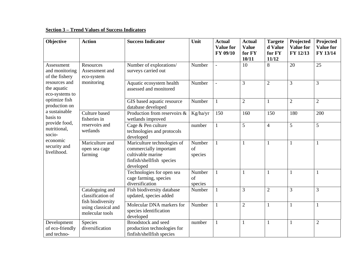#### **Section 3 – Trend Values of Success Indicators**

| <b>Objective</b>                               | <b>Action</b>                                               | <b>Success Indicator</b>                                                                                             | Unit                    | <b>Actual</b><br><b>Value for</b><br>FY 09/10 | <b>Actual</b><br><b>Value</b><br>for FY<br>10/11 | <b>Targete</b><br>d Value<br>for FY<br>11/12 | Projected<br><b>Value for</b><br>FY 12/13 | Projected<br><b>Value for</b><br>FY 13/14 |
|------------------------------------------------|-------------------------------------------------------------|----------------------------------------------------------------------------------------------------------------------|-------------------------|-----------------------------------------------|--------------------------------------------------|----------------------------------------------|-------------------------------------------|-------------------------------------------|
| Assessment<br>and monitoring<br>of the fishery | Resources<br>Assessment and<br>eco-system                   | Number of explorations/<br>surveys carried out                                                                       | Number                  |                                               | 10                                               | 8                                            | 20                                        | 25                                        |
| resources and<br>the aquatic<br>eco-systems to | monitoring                                                  | Aquatic ecosystem health<br>assessed and monitored                                                                   | Number                  |                                               | 3                                                | $\overline{2}$                               | $\overline{3}$                            | 3                                         |
| optimize fish<br>production on                 |                                                             | GIS based aquatic resource<br>database developed                                                                     | Number                  | 1                                             | $\overline{2}$                                   |                                              | $\overline{2}$                            | $\overline{2}$                            |
| a sustainable<br>basis to                      | Culture based<br>fisheries in<br>reservoirs and<br>wetlands | Production from reservoirs &<br>wetlands improved                                                                    | Kg/ha/yr                | 150                                           | 160                                              | 150                                          | 180                                       | 200                                       |
| provide food,<br>nutritional,<br>socio-        |                                                             | Cage & Pen culture<br>technologies and protocols<br>developed                                                        | number                  | $\mathbf{1}$                                  | 5                                                | $\overline{4}$                               | 5                                         | 5                                         |
| economic<br>security and<br>livelihood.        | Mariculture and<br>open sea cage<br>farming                 | Mariculture technologies of<br>commercially important<br>cultivable marine<br>finfish/shellfish species<br>developed | Number<br>of<br>species | $\mathbf{1}$                                  | $\mathbf{1}$                                     | 1                                            | $\mathbf{1}$                              | 1                                         |
|                                                |                                                             | Technologies for open sea<br>cage farming, species<br>diversification                                                | Number<br>of<br>species | 1                                             | 1                                                | 1                                            | 1                                         | 1                                         |
|                                                | Cataloguing and<br>classification of                        | Fish biodiversity database<br>updated, species added                                                                 | Number                  | $\mathbf{1}$                                  | 3                                                | $\overline{c}$                               | 3                                         | 3                                         |
|                                                | fish biodiversity<br>using classical and<br>molecular tools | Molecular DNA markers for<br>species identification<br>developed                                                     | Number                  |                                               | $\overline{2}$                                   |                                              | $\mathbf{1}$                              |                                           |
| Development<br>of eco-friendly<br>and techno-  | Species<br>diversification                                  | <b>Broodstock and seed</b><br>production technologies for<br>finfish/shellfish species                               | number                  | $\mathbf{1}$                                  | $\mathbf{1}$                                     |                                              | $\mathbf{1}$                              | $\overline{2}$                            |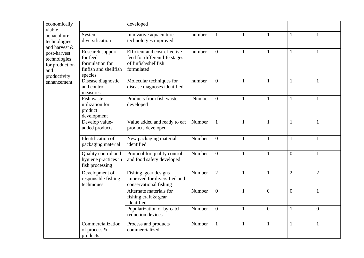| economically<br>viable                                                |                                                                                     | developed                                                                                            |        |                |              |                  |                |                  |
|-----------------------------------------------------------------------|-------------------------------------------------------------------------------------|------------------------------------------------------------------------------------------------------|--------|----------------|--------------|------------------|----------------|------------------|
| aquaculture<br>technologies<br>and harvest &                          | System<br>diversification                                                           | Innovative aquaculture<br>technologies improved                                                      | number | $\mathbf{1}$   | $\mathbf{1}$ | $\mathbf{1}$     | $\mathbf{1}$   | 1                |
| post-harvest<br>technologies<br>for production<br>and<br>productivity | Research support<br>for feed<br>formulation for<br>finfish and shellfish<br>species | Efficient and cost-effective<br>feed for different life stages<br>of finfish/shellfish<br>formulated | number | $\overline{0}$ | $\mathbf{1}$ | $\mathbf{1}$     | $\mathbf{1}$   | $\mathbf{1}$     |
| enhancement.                                                          | Disease diagnostic<br>and control<br>measures                                       | Molecular techniques for<br>disease diagnoses identified                                             | number | $\overline{0}$ | $\mathbf{1}$ | 1                | $\mathbf{1}$   | $\mathbf{1}$     |
|                                                                       | Fish waste<br>utilization for<br>product<br>development                             | Products from fish waste<br>developed                                                                | Number | $\overline{0}$ | $\mathbf{1}$ | 1                | $\mathbf{1}$   | 1                |
|                                                                       | Develop value-<br>added products                                                    | Value added and ready to eat<br>products developed                                                   | Number | $\mathbf{1}$   | $\mathbf{1}$ | $\mathbf{1}$     | $\mathbf{1}$   | 1                |
|                                                                       | Identification of<br>packaging material                                             | New packaging material<br>identified                                                                 | Number | $\overline{0}$ | $\mathbf{1}$ | $\mathbf{1}$     | $\mathbf{1}$   | $\mathbf{1}$     |
|                                                                       | Quality control and<br>hygiene practices in<br>fish processing                      | Protocol for quality control<br>and food safety developed                                            | Number | $\overline{0}$ | $\mathbf{1}$ | $\mathbf{1}$     | $\overline{0}$ | $\mathbf{1}$     |
|                                                                       | Development of<br>responsible fishing<br>techniques                                 | Fishing gear designs<br>improved for diversified and<br>conservational fishing                       | Number | $\overline{2}$ | $\mathbf{1}$ | $\mathbf{1}$     | $\overline{2}$ | $\overline{2}$   |
|                                                                       |                                                                                     | Alternate materials for<br>fishing craft & gear<br>identified                                        | Number | $\overline{0}$ | $\mathbf{1}$ | $\boldsymbol{0}$ | $\overline{0}$ | $\mathbf{1}$     |
|                                                                       |                                                                                     | Popularization of by-catch<br>reduction devices                                                      | Number | $\overline{0}$ | $\mathbf{1}$ | $\boldsymbol{0}$ | $\mathbf{1}$   | $\boldsymbol{0}$ |
|                                                                       | Commercialization<br>of process &<br>products                                       | Process and products<br>commercialized                                                               | Number | $\mathbf{1}$   | $\mathbf{1}$ | $\mathbf{1}$     | $\mathbf{1}$   | $\mathbf{1}$     |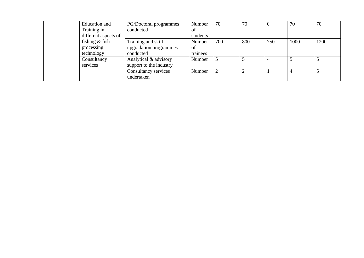| Education and        | PG/Doctoral programmes  | Number   | 70  | 70  |     | 70             | 70   |
|----------------------|-------------------------|----------|-----|-----|-----|----------------|------|
| Training in          | conducted               | of       |     |     |     |                |      |
| different aspects of |                         | students |     |     |     |                |      |
| fishing $&$ fish     | Training and skill      | Number   | 700 | 800 | 750 | 1000           | 1200 |
| processing           | upgradation programmes  | of       |     |     |     |                |      |
| technology           | conducted               | trainees |     |     |     |                |      |
| Consultancy          | Analytical & advisory   | Number   |     |     | 4   |                |      |
| services             | support to the industry |          |     |     |     |                |      |
|                      | Consultancy services    | Number   |     |     |     | $\overline{4}$ |      |
|                      | undertaken              |          |     |     |     |                |      |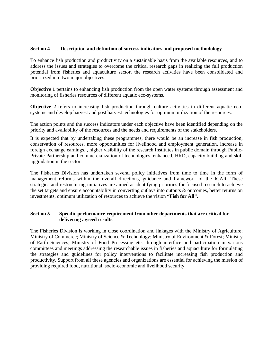#### **Section 4 Description and definition of success indicators and proposed methodology**

To enhance fish production and productivity on a sustainable basis from the available resources, and to address the issues and strategies to overcome the critical research gaps in realizing the full production potential from fisheries and aquaculture sector, the research activities have been consolidated and prioritized into two major objectives.

**Objective 1** pertains to enhancing fish production from the open water systems through assessment and monitoring of fisheries resources of different aquatic eco-systems.

**Objective 2** refers to increasing fish production through culture activities in different aquatic ecosystems and develop harvest and post harvest technologies for optimum utilization of the resources.

The action points and the success indicators under each objective have been identified depending on the priority and availability of the resources and the needs and requirements of the stakeholders.

It is expected that by undertaking these programmes, there would be an increase in fish production, conservation of resources, more opportunities for livelihood and employment generation, increase in foreign exchange earnings, , higher visibility of the research Institutes in public domain through Public-Private Partnership and commercialization of technologies, enhanced, HRD, capacity building and skill upgradation in the sector.

The Fisheries Division has undertaken several policy initiatives from time to time in the form of management reforms within the overall directions, guidance and framework of the ICAR. These strategies and restructuring initiatives are aimed at identifying priorities for focused research to achieve the set targets and ensure accountability in converting outlays into outputs & outcomes, better returns on investments, optimum utilization of resources to achieve the vision **"Fish for All"**.

#### **Section 5 Specific performance requirement from other departments that are critical for delivering agreed results.**

The Fisheries Division is working in close coordination and linkages with the Ministry of Agriculture; Ministry of Commerce; Ministry of Science & Technology; Ministry of Environment & Forest; Ministry of Earth Sciences; Ministry of Food Processing etc. through interface and participation in various committees and meetings addressing the researchable issues in fisheries and aquaculture for formulating the strategies and guidelines for policy interventions to facilitate increasing fish production and productivity. Support from all these agencies and organizations are essential for achieving the mission of providing required food, nutritional, socio-economic and livelihood security.